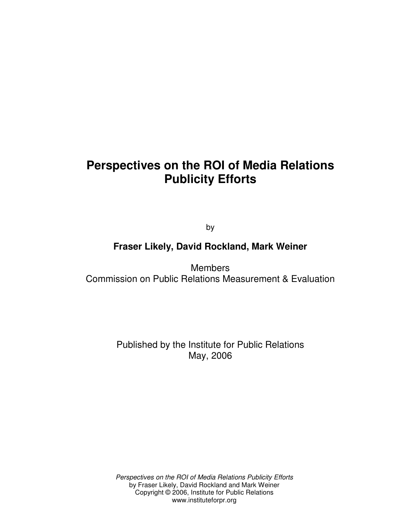# **Perspectives on the ROI of Media Relations Publicity Efforts**

by

## **Fraser Likely, David Rockland, Mark Weiner**

**Members** Commission on Public Relations Measurement & Evaluation

> Published by the Institute for Public Relations May, 2006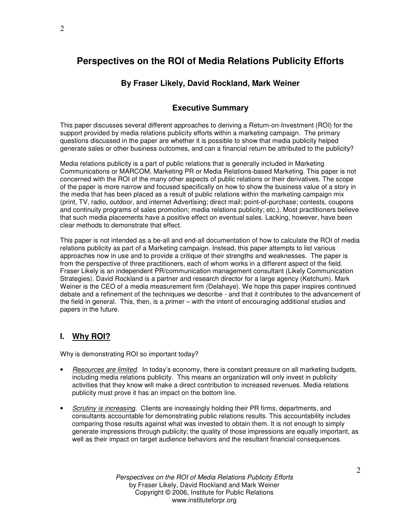## **Perspectives on the ROI of Media Relations Publicity Efforts**

### **By Fraser Likely, David Rockland, Mark Weiner**

## **Executive Summary**

This paper discusses several different approaches to deriving a Return-on-Investment (ROI) for the support provided by media relations publicity efforts within a marketing campaign. The primary questions discussed in the paper are whether it is possible to show that media publicity helped generate sales or other business outcomes, and can a financial return be attributed to the publicity?

Media relations publicity is a part of public relations that is generally included in Marketing Communications or MARCOM, Marketing PR or Media Relations-based Marketing. This paper is not concerned with the ROI of the many other aspects of public relations or their derivatives. The scope of the paper is more narrow and focused specifically on how to show the business value of a story in the media that has been placed as a result of public relations within the marketing campaign mix (print, TV, radio, outdoor, and internet Advertising; direct mail; point-of-purchase; contests, coupons and continuity programs of sales promotion; media relations publicity; etc.). Most practitioners believe that such media placements have a positive effect on eventual sales. Lacking, however, have been clear methods to demonstrate that effect.

This paper is not intended as a be-all and end-all documentation of how to calculate the ROI of media relations publicity as part of a Marketing campaign. Instead, this paper attempts to list various approaches now in use and to provide a critique of their strengths and weaknesses. The paper is from the perspective of three practitioners, each of whom works in a different aspect of the field. Fraser Likely is an independent PR/communication management consultant (Likely Communication Strategies). David Rockland is a partner and research director for a large agency (Ketchum). Mark Weiner is the CEO of a media measurement firm (Delahaye). We hope this paper inspires continued debate and a refinement of the techniques we describe - and that it contributes to the advancement of the field in general. This, then, is a primer – with the intent of encouraging additional studies and papers in the future.

### **I. Why ROI?**

Why is demonstrating ROI so important today?

- *Resources are limited*. In today's economy, there is constant pressure on all marketing budgets, including media relations publicity. This means an organization will only invest in publicity activities that they know will make a direct contribution to increased revenues. Media relations publicity must prove it has an impact on the bottom line.
- *Scrutiny is increasing*. Clients are increasingly holding their PR firms, departments, and consultants accountable for demonstrating public relations results. This accountability includes comparing those results against what was invested to obtain them. It is not enough to simply generate impressions through publicity; the quality of those impressions are equally important, as well as their impact on target audience behaviors and the resultant financial consequences.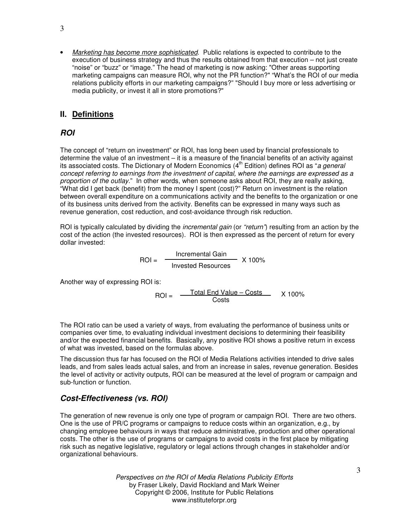• *Marketing has become more sophisticated*. Public relations is expected to contribute to the execution of business strategy and thus the results obtained from that execution – not just create "noise" or "buzz" or "image." The head of marketing is now asking: "Other areas supporting marketing campaigns can measure ROI, why not the PR function?" "What's the ROI of our media relations publicity efforts in our marketing campaigns?" "Should I buy more or less advertising or media publicity, or invest it all in store promotions?"

## **II. Definitions**

## *ROI*

The concept of "return on investment" or ROI, has long been used by financial professionals to determine the value of an investment – it is a measure of the financial benefits of an activity against its associated costs. The Dictionary of Modern Economics (4 th Edition) defines ROI as "*a general concept referring to earnings from the investment of capital, where the earnings are expressed as a proportion of the outlay.*" In other words, when someone asks about ROI, they are really asking, "What did I get back (benefit) from the money I spent (cost)?" Return on investment is the relation between overall expenditure on a communications activity and the benefits to the organization or one of its business units derived from the activity. Benefits can be expressed in many ways such as revenue generation, cost reduction, and cost-avoidance through risk reduction.

ROI is typically calculated by dividing the *incremental gain* (or *"return"*) resulting from an action by the cost of the action (the invested resources). ROI is then expressed as the percent of return for every dollar invested:

$$
ROI = \frac{Incremental Gain}{Invested Resources} \times 100\%
$$

Another way of expressing ROI is:

 $ROI = \frac{Total End Value - Costs}{Cost}$  X 100% Costs

The ROI ratio can be used a variety of ways, from evaluating the performance of business units or companies over time, to evaluating individual investment decisions to determining their feasibility and/or the expected financial benefits. Basically, any positive ROI shows a positive return in excess of what was invested, based on the formulas above.

The discussion thus far has focused on the ROI of Media Relations activities intended to drive sales leads, and from sales leads actual sales, and from an increase in sales, revenue generation. Besides the level of activity or activity outputs, ROI can be measured at the level of program or campaign and sub-function or function.

## *Cost-Effectiveness (vs. ROI)*

The generation of new revenue is only one type of program or campaign ROI. There are two others. One is the use of PR/C programs or campaigns to reduce costs within an organization, e.g., by changing employee behaviours in ways that reduce administrative, production and other operational costs. The other is the use of programs or campaigns to avoid costs in the first place by mitigating risk such as negative legislative, regulatory or legal actions through changes in stakeholder and/or organizational behaviours.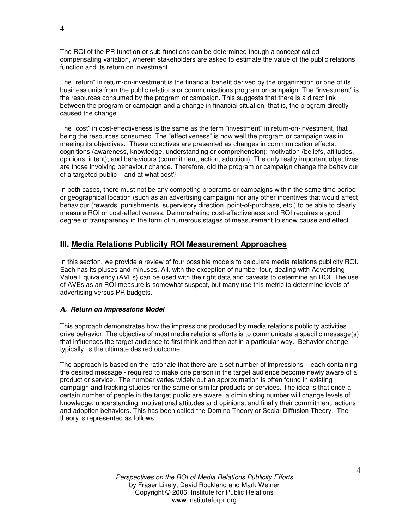The ROI of the PR function or sub-functions can be determined though a concept called compensating variation, wherein stakeholders are asked to estimate the value of the public relations function and its return on investment.

The "return" in return-on-investment is the financial benefit derived by the organization or one of its business units from the public relations or communications program or campaign. The "investment" is the resources consumed by the program or campaign. This suggests that there is a direct link between the program or campaign and a change in financial situation, that is, the program directly caused the change.

The "cost" in cost-effectiveness is the same as the term "investment" in return-on-investment, that being the resources consumed. The "effectiveness" is how well the program or campaign was in meeting its objectives. These objectives are presented as changes in communication effects: cognitions (awareness, knowledge, understanding or comprehension); motivation (beliefs, attitudes, opinions, intent); and behaviours (commitment, action, adoption). The only really important objectives are those involving behaviour change. Therefore, did the program or campaign change the behaviour of a targeted public – and at what cost?

In both cases, there must not be any competing programs or campaigns within the same time period or geographical location (such as an advertising campaign) nor any other incentives that would affect behaviour (rewards, punishments, supervisory direction, point-of-purchase, etc.) to be able to clearly measure ROI or cost-effectiveness. Demonstrating cost-effectiveness and ROI requires a good degree of transparency in the form of numerous stages of measurement to show cause and effect.

## **III. Media Relations Publicity ROI Measurement Approaches**

In this section, we provide a review of four possible models to calculate media relations publicity ROI. Each has its pluses and minuses. All, with the exception of number four, dealing with Advertising Value Equivalency (AVEs) can be used with the right data and caveats to determine an ROI. The use of AVEs as an ROI measure is somewhat suspect, but many use this metric to determine levels of advertising versus PR budgets.

#### *A. Return on Impressions Model*

This approach demonstrates how the impressions produced by media relations publicity activities drive behavior. The objective of most media relations efforts is to communicate a specific message(s) that influences the target audience to first think and then act in a particular way. Behavior change, typically, is the ultimate desired outcome.

The approach is based on the rationale that there are a set number of impressions – each containing the desired message - required to make one person in the target audience become newly aware of a product or service. The number varies widely but an approximation is often found in existing campaign and tracking studies for the same or similar products or services. The idea is that once a certain number of people in the target public are aware, a diminishing number will change levels of knowledge, understanding, motivational attitudes and opinions; and finally their commitment, actions and adoption behaviors. This has been called the Domino Theory or Social Diffusion Theory. The theory is represented as follows: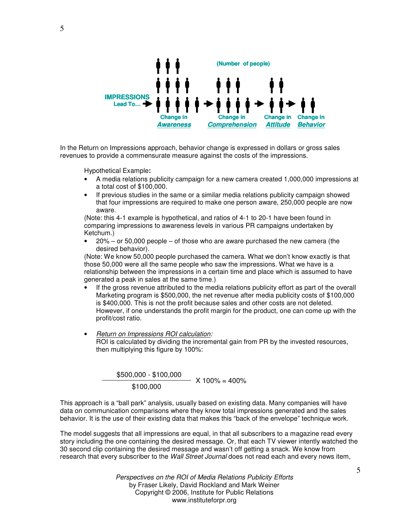

In the Return on Impressions approach, behavior change is expressed in dollars or gross sales revenues to provide a commensurate measure against the costs of the impressions.

Hypothetical Example**:**

- A media relations publicity campaign for a new camera created 1,000,000 impressions at a total cost of \$100,000.
- If previous studies in the same or a similar media relations publicity campaign showed that four impressions are required to make one person aware, 250,000 people are now aware.

(Note: this 4-1 example is hypothetical, and ratios of 4-1 to 20-1 have been found in comparing impressions to awareness levels in various PR campaigns undertaken by Ketchum.)

 $20\%$  – or 50,000 people – of those who are aware purchased the new camera (the desired behavior).

(Note: We know 50,000 people purchased the camera. What we don't know exactly is that those 50,000 were all the same people who saw the impressions. What we have is a relationship between the impressions in a certain time and place which is assumed to have generated a peak in sales at the same time.)

- If the gross revenue attributed to the media relations publicity effort as part of the overall Marketing program is \$500,000, the net revenue after media publicity costs of \$100,000 is \$400,000. This is not the profit because sales and other costs are not deleted. However, if one understands the profit margin for the product, one can come up with the profit/cost ratio.
- *Return on Impressions ROI calculation:* ROI is calculated by dividing the incremental gain from PR by the invested resources, then multiplying this figure by 100%:

 $- X 100\% = 400\%$ \$500,000 - \$100,000 \$100,000

This approach is a "ball park" analysis, usually based on existing data. Many companies will have data on communication comparisons where they know total impressions generated and the sales behavior. It is the use of their existing data that makes this "back of the envelope" technique work.

The model suggests that all impressions are equal, in that all subscribers to a magazine read every story including the one containing the desired message. Or, that each TV viewer intently watched the 30 second clip containing the desired message and wasn't off getting a snack. We know from research that every subscriber to the *Wall Street Journal* does not read each and every news item,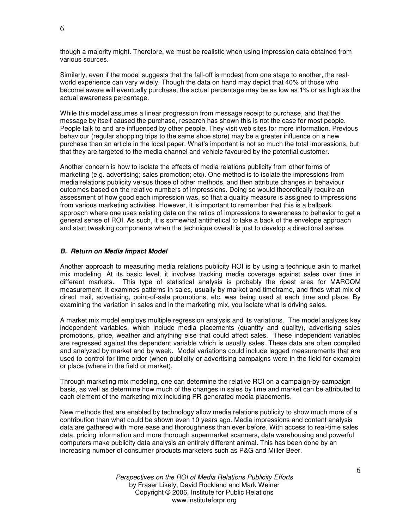though a majority might. Therefore, we must be realistic when using impression data obtained from various sources.

Similarly, even if the model suggests that the fall-off is modest from one stage to another, the realworld experience can vary widely. Though the data on hand may depict that 40% of those who become aware will eventually purchase, the actual percentage may be as low as 1% or as high as the actual awareness percentage.

While this model assumes a linear progression from message receipt to purchase, and that the message by itself caused the purchase, research has shown this is not the case for most people. People talk to and are influenced by other people. They visit web sites for more information. Previous behaviour (regular shopping trips to the same shoe store) may be a greater influence on a new purchase than an article in the local paper. What's important is not so much the total impressions, but that they are targeted to the media channel and vehicle favoured by the potential customer.

Another concern is how to isolate the effects of media relations publicity from other forms of marketing (e.g. advertising; sales promotion; etc). One method is to isolate the impressions from media relations publicity versus those of other methods, and then attribute changes in behaviour outcomes based on the relative numbers of impressions. Doing so would theoretically require an assessment of how good each impression was, so that a quality measure is assigned to impressions from various marketing activities. However, it is important to remember that this is a ballpark approach where one uses existing data on the ratios of impressions to awareness to behavior to get a general sense of ROI. As such, it is somewhat antithetical to take a back of the envelope approach and start tweaking components when the technique overall is just to develop a directional sense.

#### *B. Return on Media Impact Model*

Another approach to measuring media relations publicity ROI is by using a technique akin to market mix modeling. At its basic level, it involves tracking media coverage against sales over time in different markets. This type of statistical analysis is probably the ripest area for MARCOM measurement. It examines patterns in sales, usually by market and timeframe, and finds what mix of direct mail, advertising, point-of-sale promotions, etc. was being used at each time and place. By examining the variation in sales and in the marketing mix, you isolate what is driving sales.

A market mix model employs multiple regression analysis and its variations. The model analyzes key independent variables, which include media placements (quantity and quality), advertising sales promotions, price, weather and anything else that could affect sales. These independent variables are regressed against the dependent variable which is usually sales. These data are often compiled and analyzed by market and by week. Model variations could include lagged measurements that are used to control for time order (when publicity or advertising campaigns were in the field for example) or place (where in the field or market).

Through marketing mix modeling, one can determine the relative ROI on a campaign-by-campaign basis, as well as determine how much of the changes in sales by time and market can be attributed to each element of the marketing mix including PR-generated media placements.

New methods that are enabled by technology allow media relations publicity to show much more of a contribution than what could be shown even 10 years ago. Media impressions and content analysis data are gathered with more ease and thoroughness than ever before. With access to real-time sales data, pricing information and more thorough supermarket scanners, data warehousing and powerful computers make publicity data analysis an entirely different animal. This has been done by an increasing number of consumer products marketers such as P&G and Miller Beer.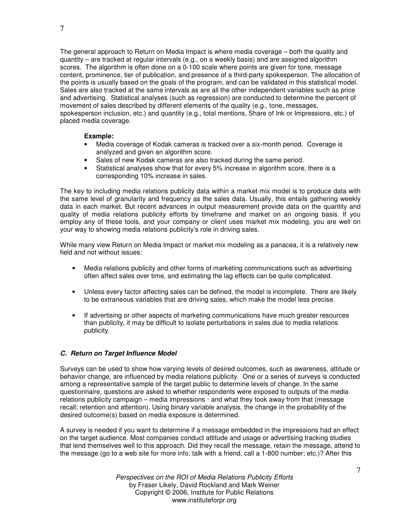The general approach to Return on Media Impact is where media coverage – both the quality and quantity – are tracked at regular intervals (e.g., on a weekly basis) and are assigned algorithm scores. The algorithm is often done on a 0-100 scale where points are given for tone, message content, prominence, tier of publication, and presence of a third-party spokesperson. The allocation of the points is usually based on the goals of the program, and can be validated in this statistical model. Sales are also tracked at the same intervals as are all the other independent variables such as price and advertising. Statistical analyses (such as regression) are conducted to determine the percent of movement of sales described by different elements of the quality (e.g., tone, messages, spokesperson inclusion, etc.) and quantity (e.g., total mentions, Share of Ink or Impressions, etc.) of placed media coverage.

#### **Example:**

- Media coverage of Kodak cameras is tracked over a six-month period. Coverage is analyzed and given an algorithm score.
- Sales of new Kodak cameras are also tracked during the same period.
- Statistical analyses show that for every 5% increase in algorithm score, there is a corresponding 10% increase in sales.

The key to including media relations publicity data within a market mix model is to produce data with the same level of granularity and frequency as the sales data. Usually, this entails gathering weekly data in each market. But recent advances in output measurement provide data on the quantity and quality of media relations publicity efforts by timeframe and market on an ongoing basis. If you employ any of these tools, and your company or client uses market mix modeling, you are well on your way to showing media relations publicity's role in driving sales.

While many view Return on Media Impact or market mix modeling as a panacea, it is a relatively new field and not without issues:

- Media relations publicity and other forms of marketing communications such as advertising often affect sales over time, and estimating the lag effects can be quite complicated.
- Unless every factor affecting sales can be defined, the model is incomplete. There are likely to be extraneous variables that are driving sales, which make the model less precise.
- If advertising or other aspects of marketing communications have much greater resources than publicity, it may be difficult to isolate perturbations in sales due to media relations publicity.

#### *C. Return on Target Influence Model*

Surveys can be used to show how varying levels of desired outcomes, such as awareness, attitude or behavior change, are influenced by media relations publicity. One or a series of surveys is conducted among a representative sample of the target public to determine levels of change. In the same questionnaire, questions are asked to whether respondents were exposed to outputs of the media relations publicity campaign – media impressions - and what they took away from that (message recall; retention and attention). Using binary variable analysis, the change in the probability of the desired outcome(s) based on media exposure is determined.

A survey is needed if you want to determine if a message embedded in the impressions had an effect on the target audience. Most companies conduct attitude and usage or advertising tracking studies that lend themselves well to this approach. Did they recall the message, retain the message, attend to the message (go to a web site for more info, talk with a friend, call a 1-800 number; etc.)? After this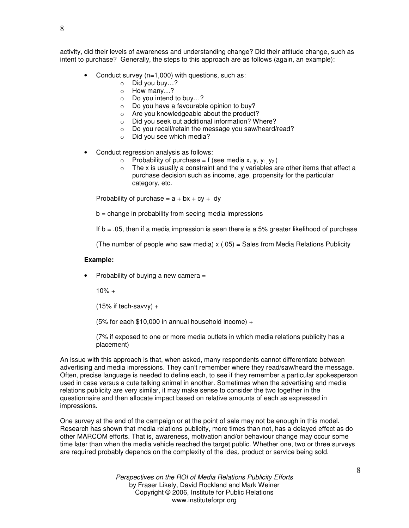activity, did their levels of awareness and understanding change? Did their attitude change, such as intent to purchase? Generally, the steps to this approach are as follows (again, an example):

- Conduct survey (n=1,000) with questions, such as:
	- o Did you buy…?
	- o How many…?
	- o Do you intend to buy…?
	- $\circ$  Do you have a favourable opinion to buy?
	- o Are you knowledgeable about the product?
	- o Did you seek out additional information? Where?
	- o Do you recall/retain the message you saw/heard/read?
	- o Did you see which media?
- Conduct regression analysis as follows:
	- $\circ$  Probability of purchase = f (see media x, y, y<sub>1</sub> y<sub>2</sub>)
	- $\circ$  The x is usually a constraint and the y variables are other items that affect a purchase decision such as income, age, propensity for the particular category, etc.

Probability of purchase =  $a + bx + cy + dy$ 

 $b =$  change in probability from seeing media impressions

If  $b = .05$ , then if a media impression is seen there is a 5% greater likelihood of purchase

(The number of people who saw media)  $x(.05)$  = Sales from Media Relations Publicity

#### **Example:**

• Probability of buying a new camera =

 $10% +$ 

 $(15\%$  if tech-savvy) +

(5% for each  $$10,000$  in annual household income) +

(7% if exposed to one or more media outlets in which media relations publicity has a placement)

An issue with this approach is that, when asked, many respondents cannot differentiate between advertising and media impressions. They can't remember where they read/saw/heard the message. Often, precise language is needed to define each, to see if they remember a particular spokesperson used in case versus a cute talking animal in another. Sometimes when the advertising and media relations publicity are very similar, it may make sense to consider the two together in the questionnaire and then allocate impact based on relative amounts of each as expressed in impressions.

One survey at the end of the campaign or at the point of sale may not be enough in this model. Research has shown that media relations publicity, more times than not, has a delayed effect as do other MARCOM efforts. That is, awareness, motivation and/or behaviour change may occur some time later than when the media vehicle reached the target public. Whether one, two or three surveys are required probably depends on the complexity of the idea, product or service being sold.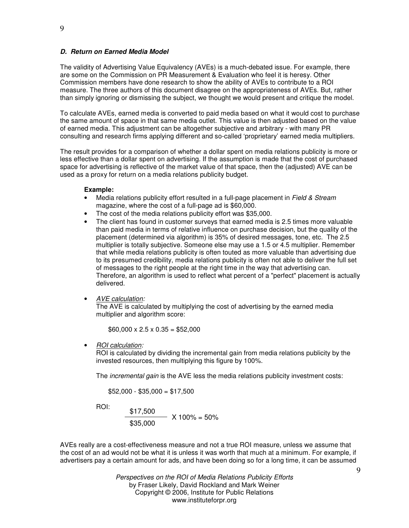#### *D. Return on Earned Media Model*

The validity of Advertising Value Equivalency (AVEs) is a much-debated issue. For example, there are some on the Commission on PR Measurement & Evaluation who feel it is heresy. Other Commission members have done research to show the ability of AVEs to contribute to a ROI measure. The three authors of this document disagree on the appropriateness of AVEs. But, rather than simply ignoring or dismissing the subject, we thought we would present and critique the model.

To calculate AVEs, earned media is converted to paid media based on what it would cost to purchase the same amount of space in that same media outlet. This value is then adjusted based on the value of earned media. This adjustment can be altogether subjective and arbitrary - with many PR consulting and research firms applying different and so-called 'proprietary' earned media multipliers.

The result provides for a comparison of whether a dollar spent on media relations publicity is more or less effective than a dollar spent on advertising. If the assumption is made that the cost of purchased space for advertising is reflective of the market value of that space, then the (adjusted) AVE can be used as a proxy for return on a media relations publicity budget.

#### **Example:**

- Media relations publicity effort resulted in a full-page placement in *Field & Stream* magazine, where the cost of a full-page ad is \$60,000.
- The cost of the media relations publicity effort was \$35,000.
- The client has found in customer surveys that earned media is 2.5 times more valuable than paid media in terms of relative influence on purchase decision, but the quality of the placement (determined via algorithm) is 35% of desired messages, tone, etc. The 2.5 multiplier is totally subjective. Someone else may use a 1.5 or 4.5 multiplier. Remember that while media relations publicity is often touted as more valuable than advertising due to its presumed credibility, media relations publicity is often not able to deliver the full set of messages to the right people at the right time in the way that advertising can. Therefore, an algorithm is used to reflect what percent of a "perfect" placement is actually delivered.
- *AVE calculation:*

The AVE is calculated by multiplying the cost of advertising by the earned media multiplier and algorithm score:

 $$60,000 \times 2.5 \times 0.35 = $52,000$ 

• *ROI calculation:*

ROI is calculated by dividing the incremental gain from media relations publicity by the invested resources, then multiplying this figure by 100%.

The *incremental gain* is the AVE less the media relations publicity investment costs:

 $$52,000 - $35,000 = $17,500$ 

ROI:  
\n
$$
\frac{$17,500}{$35,000} \times 100\% = 50\%
$$

AVEs really are a cost-effectiveness measure and not a true ROI measure, unless we assume that the cost of an ad would not be what it is unless it was worth that much at a minimum. For example, if advertisers pay a certain amount for ads, and have been doing so for a long time, it can be assumed